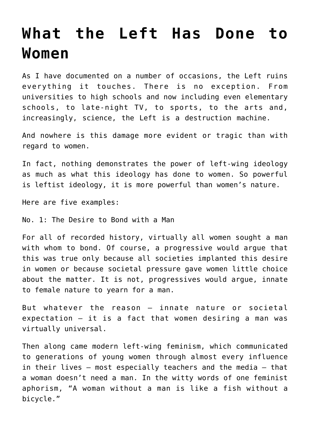## **[What the Left Has Done to](https://bernardgoldberg.com/what-the-left-has-done-to-women/) [Women](https://bernardgoldberg.com/what-the-left-has-done-to-women/)**

As I have documented on a number of occasions, the Left ruins everything it touches. There is no exception. From universities to high schools and now including even elementary schools, to late-night TV, to sports, to the arts and, increasingly, science, the Left is a destruction machine.

And nowhere is this damage more evident or tragic than with regard to women.

In fact, nothing demonstrates the power of left-wing ideology as much as what this ideology has done to women. So powerful is leftist ideology, it is more powerful than women's nature.

Here are five examples:

No. 1: The Desire to Bond with a Man

For all of recorded history, virtually all women sought a man with whom to bond. Of course, a progressive would argue that this was true only because all societies implanted this desire in women or because societal pressure gave women little choice about the matter. It is not, progressives would argue, innate to female nature to yearn for a man.

But whatever the reason — innate nature or societal expectation — it is a fact that women desiring a man was virtually universal.

Then along came modern left-wing feminism, which communicated to generations of young women through almost every influence in their lives — most especially teachers and the media — that a woman doesn't need a man. In the witty words of one feminist aphorism, "A woman without a man is like a fish without a bicycle."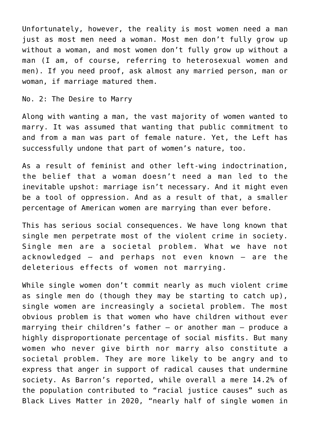Unfortunately, however, the reality is most women need a man just as most men need a woman. Most men don't fully grow up without a woman, and most women don't fully grow up without a man (I am, of course, referring to heterosexual women and men). If you need proof, ask almost any married person, man or woman, if marriage matured them.

No. 2: The Desire to Marry

Along with wanting a man, the vast majority of women wanted to marry. It was assumed that wanting that public commitment to and from a man was part of female nature. Yet, the Left has successfully undone that part of women's nature, too.

As a result of feminist and other left-wing indoctrination, the belief that a woman doesn't need a man led to the inevitable upshot: marriage isn't necessary. And it might even be a tool of oppression. And as a result of that, a smaller percentage of American women are marrying than ever before.

This has serious social consequences. We have long known that single men perpetrate most of the violent crime in society. Single men are a societal problem. What we have not acknowledged — and perhaps not even known — are the deleterious effects of women not marrying.

While single women don't commit nearly as much violent crime as single men do (though they may be starting to catch up), single women are increasingly a societal problem. The most obvious problem is that women who have children without ever marrying their children's father — or another man — produce a highly disproportionate percentage of social misfits. But many women who never give birth nor marry also constitute a societal problem. They are more likely to be angry and to express that anger in support of radical causes that undermine society. As Barron's reported, while overall a mere 14.2% of the population contributed to "racial justice causes" such as Black Lives Matter in 2020, "nearly half of single women in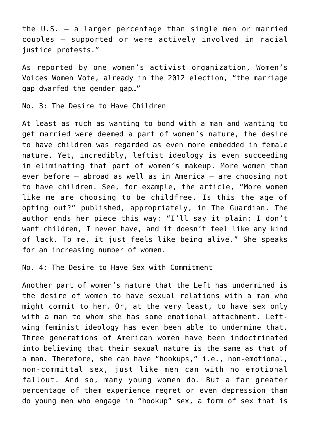the U.S. — a larger percentage than single men or married couples — supported or were actively involved in racial justice protests."

As reported by one women's activist organization, Women's Voices Women Vote, already in the 2012 election, "the marriage gap dwarfed the gender gap…"

No. 3: The Desire to Have Children

At least as much as wanting to bond with a man and wanting to get married were deemed a part of women's nature, the desire to have children was regarded as even more embedded in female nature. Yet, incredibly, leftist ideology is even succeeding in eliminating that part of women's makeup. More women than ever before — abroad as well as in America — are choosing not to have children. See, for example, the article, "More women like me are choosing to be childfree. Is this the age of opting out?" published, appropriately, in The Guardian. The author ends her piece this way: "I'll say it plain: I don't want children, I never have, and it doesn't feel like any kind of lack. To me, it just feels like being alive." She speaks for an increasing number of women.

No. 4: The Desire to Have Sex with Commitment

Another part of women's nature that the Left has undermined is the desire of women to have sexual relations with a man who might commit to her. Or, at the very least, to have sex only with a man to whom she has some emotional attachment. Leftwing feminist ideology has even been able to undermine that. Three generations of American women have been indoctrinated into believing that their sexual nature is the same as that of a man. Therefore, she can have "hookups," i.e., non-emotional, non-committal sex, just like men can with no emotional fallout. And so, many young women do. But a far greater percentage of them experience regret or even depression than do young men who engage in "hookup" sex, a form of sex that is